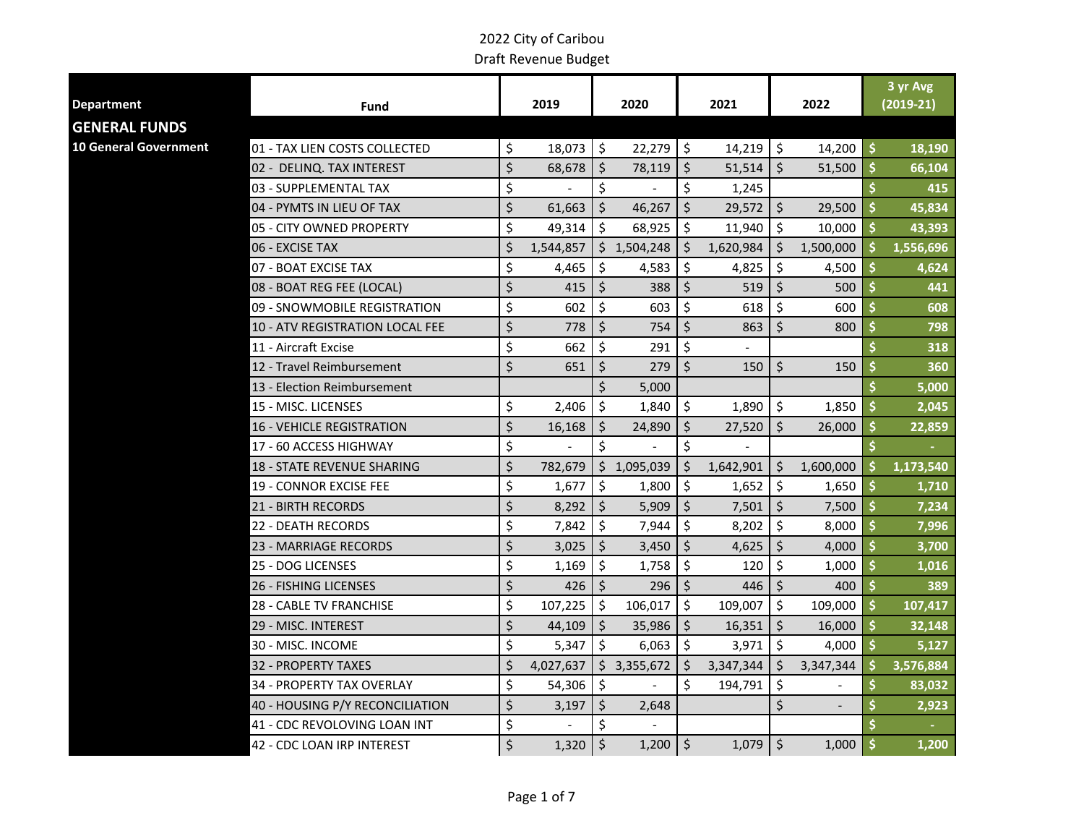| <b>Department</b>            |                                   |         | 2019        |         | 2020        |         | 2021      |                     | 2022                     |                     | 3 yr Avg<br>$(2019-21)$ |
|------------------------------|-----------------------------------|---------|-------------|---------|-------------|---------|-----------|---------------------|--------------------------|---------------------|-------------------------|
|                              | Fund                              |         |             |         |             |         |           |                     |                          |                     |                         |
| <b>GENERAL FUNDS</b>         |                                   |         |             |         |             |         |           |                     |                          |                     |                         |
| <b>10 General Government</b> | 01 - TAX LIEN COSTS COLLECTED     | \$      | $18,073$ \$ |         | $22,279$ \$ |         | 14,219    | $\ddot{\mathsf{s}}$ | 14,200                   | \$                  | 18,190                  |
|                              | 02 - DELINQ. TAX INTEREST         | \$      | 68,678      | \$      | 78,119      | \$      | 51,514    | $\zeta$             | 51,500                   | $\ddot{\bm{\zeta}}$ | 66,104                  |
|                              | 03 - SUPPLEMENTAL TAX             | \$      |             | \$      |             | \$      | 1,245     |                     |                          | \$                  | 415                     |
|                              | 04 - PYMTS IN LIEU OF TAX         | $\zeta$ | 61,663      | Ś.      | 46,267      | $\zeta$ | 29,572    | $\zeta$             | 29,500                   | \$                  | 45,834                  |
|                              | 05 - CITY OWNED PROPERTY          | \$      | 49,314      | \$      | 68,925      | \$      | 11,940    | $\mathsf{\dot{S}}$  | 10,000                   | $\mathsf{\dot{S}}$  | 43,393                  |
|                              | 06 - EXCISE TAX                   | \$      | 1,544,857   |         | \$1,504,248 | \$      | 1,620,984 | \$                  | 1,500,000                | \$                  | 1,556,696               |
|                              | 07 - BOAT EXCISE TAX              | \$      | 4,465       | \$      | 4,583       | \$      | 4,825     | \$                  | 4,500                    | \$                  | 4,624                   |
|                              | 08 - BOAT REG FEE (LOCAL)         | \$      | 415         | \$      | 388         | $\zeta$ | 519       | \$                  | 500                      | \$                  | 441                     |
|                              | 09 - SNOWMOBILE REGISTRATION      | \$      | 602         | \$      | 603         | \$      | 618       | \$                  | 600                      | \$                  | 608                     |
|                              | 10 - ATV REGISTRATION LOCAL FEE   | \$      | 778         | \$      | 754         | \$      | 863       | \$                  | 800                      | \$                  | 798                     |
|                              | 11 - Aircraft Excise              | \$      | 662         | $\zeta$ | 291         | \$      |           |                     |                          | \$                  | 318                     |
|                              | 12 - Travel Reimbursement         | $\zeta$ | 651         | \$      | 279         | $\zeta$ | 150       | $\zeta$             | 150                      | \$                  | 360                     |
|                              | 13 - Election Reimbursement       |         |             | \$      | 5,000       |         |           |                     |                          |                     | 5,000                   |
|                              | 15 - MISC. LICENSES               | \$      | 2,406       | \$      | 1,840       | \$      | 1,890     | $\zeta$             | 1,850                    | Ś                   | 2,045                   |
|                              | <b>16 - VEHICLE REGISTRATION</b>  | \$      | 16,168      | \$      | 24,890      | $\zeta$ | 27,520    | $\zeta$             | 26,000                   | \$                  | 22,859                  |
|                              | 17 - 60 ACCESS HIGHWAY            | \$      |             | \$      |             | \$      |           |                     |                          | \$                  |                         |
|                              | <b>18 - STATE REVENUE SHARING</b> | \$      | 782,679     | \$.     | 1,095,039   | \$      | 1,642,901 | \$                  | 1,600,000                | \$                  | 1,173,540               |
|                              | <b>19 - CONNOR EXCISE FEE</b>     | \$      | 1,677       | \$      | 1,800       | \$      | 1,652     | $\zeta$             | 1,650                    | \$                  | 1,710                   |
|                              | <b>21 - BIRTH RECORDS</b>         | \$      | 8,292       | Ś.      | 5,909       | $\zeta$ | 7,501     | $\zeta$             | 7,500                    | \$                  | 7,234                   |
|                              | 22 - DEATH RECORDS                | \$      | 7,842       | \$      | 7,944       | \$      | 8,202     | \$                  | 8,000                    | \$                  | 7,996                   |
|                              | <b>23 - MARRIAGE RECORDS</b>      | \$      | 3,025       | \$      | 3,450       | $\zeta$ | 4,625     | $\zeta$             | 4,000                    | \$                  | 3,700                   |
|                              | 25 - DOG LICENSES                 | \$      | 1,169       | \$      | 1,758       | \$      | 120       | \$                  | 1,000                    | \$                  | 1,016                   |
|                              | <b>26 - FISHING LICENSES</b>      | \$      | 426         | \$      | 296         | \$      | 446       | $\zeta$             | 400                      | \$                  | 389                     |
|                              | 28 - CABLE TV FRANCHISE           | \$      | 107,225     | Ś.      | 106,017     | \$      | 109,007   | \$                  | 109,000                  | Ś.                  | 107,417                 |
|                              | 29 - MISC. INTEREST               | \$      | 44,109      | \$      | 35,986      | $\zeta$ | 16,351    | $\zeta$             | 16,000                   | $\ddot{\bm{\zeta}}$ | 32,148                  |
|                              | 30 - MISC. INCOME                 | \$      | 5,347       | $\zeta$ | 6,063       | \$      | 3,971     | \$                  | 4,000                    | \$                  | 5,127                   |
|                              | 32 - PROPERTY TAXES               | \$      | 4,027,637   | \$.     | 3,355,672   | \$      | 3,347,344 | -\$                 | 3,347,344                | \$                  | 3,576,884               |
|                              | 34 - PROPERTY TAX OVERLAY         | \$      | 54,306      | \$      |             | \$      | 194,791   | \$                  |                          | \$                  | 83,032                  |
|                              | 40 - HOUSING P/Y RECONCILIATION   | \$      | 3,197       | \$      | 2,648       |         |           | \$                  | $\overline{\phantom{a}}$ |                     | 2,923                   |
|                              | 41 - CDC REVOLOVING LOAN INT      | \$      |             | \$      |             |         |           |                     |                          |                     |                         |
|                              | 42 - CDC LOAN IRP INTEREST        | $\zeta$ | 1,320       | $\zeta$ | $1,200$ \$  |         | 1,079     | $\vert$ \$          | 1,000                    | \$                  | 1,200                   |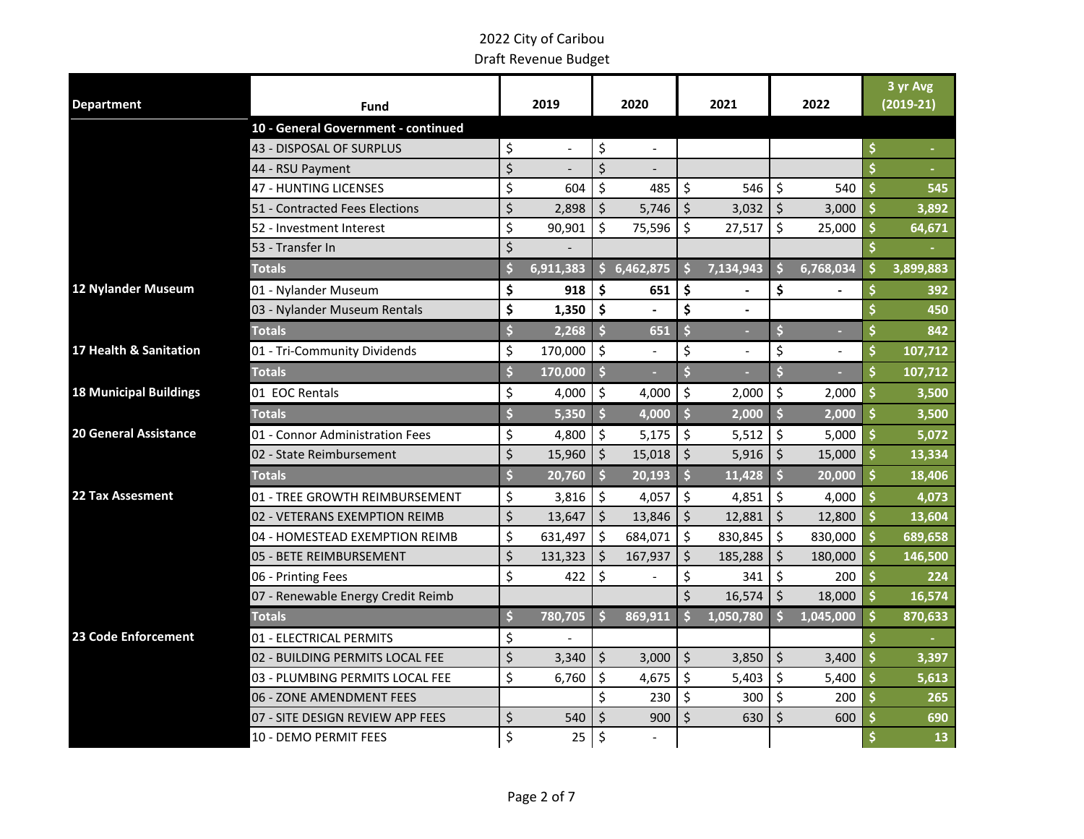|                               |                                     |                    |            |                     |                |                     |                |                      |                    |                    | 3 yr Avg    |
|-------------------------------|-------------------------------------|--------------------|------------|---------------------|----------------|---------------------|----------------|----------------------|--------------------|--------------------|-------------|
| <b>Department</b>             | <b>Fund</b>                         |                    | 2019       |                     | 2020           |                     | 2021           |                      | 2022               |                    | $(2019-21)$ |
|                               | 10 - General Government - continued |                    |            |                     |                |                     |                |                      |                    |                    |             |
|                               | 43 - DISPOSAL OF SURPLUS            | \$                 |            | \$                  | $\blacksquare$ |                     |                |                      |                    | \$                 |             |
|                               | 44 - RSU Payment                    | \$                 |            | $\dot{\mathsf{S}}$  |                |                     |                |                      |                    |                    |             |
|                               | <b>47 - HUNTING LICENSES</b>        | \$                 | 604        | \$                  | 485            | $\zeta$             | 546            | \$                   | 540                | \$                 | 545         |
|                               | 51 - Contracted Fees Elections      | \$                 | 2,898      | \$                  | 5,746          | $\zeta$             | 3,032          | \$                   | 3,000              | \$                 | 3,892       |
|                               | 52 - Investment Interest            | \$                 | 90,901     | \$                  | 75,596         | \$                  | 27,517         | \$                   | 25,000             | \$                 | 64,671      |
|                               | 53 - Transfer In                    | $\mathsf{\dot{S}}$ |            |                     |                |                     |                |                      |                    |                    |             |
|                               | <b>Totals</b>                       | Ś                  | 6,911,383  |                     | \$6,462,875    | $\mathsf{\hat{S}}$  | 7,134,943      | Ś                    | 6,768,034          | \$                 | 3,899,883   |
| 12 Nylander Museum            | 01 - Nylander Museum                | \$                 | 918        | \$                  | 651            | \$                  |                | \$                   |                    | \$                 | 392         |
|                               | 03 - Nylander Museum Rentals        | \$                 | 1,350      | \$                  |                | \$                  | $\blacksquare$ |                      |                    |                    | 450         |
|                               | <b>Totals</b>                       | \$                 | 2,268      | $\ddot{\mathsf{s}}$ | 651            | $\ddot{\bm{\zeta}}$ |                | \$                   |                    |                    | 842         |
| 17 Health & Sanitation        | 01 - Tri-Community Dividends        | \$                 | 170,000    | \$                  |                | \$                  |                | \$                   |                    | \$                 | 107,712     |
|                               | <b>Totals</b>                       | \$                 | 170,000    | S                   |                | \$                  |                | \$                   |                    | \$                 | 107,712     |
| <b>18 Municipal Buildings</b> | 01 EOC Rentals                      | \$                 | $4,000$ \$ |                     | 4,000          | $\zeta$             | 2,000          | $\zeta$              | 2,000              | \$                 | 3,500       |
|                               | <b>Totals</b>                       | \$                 | 5,350      | $\ddot{\mathsf{s}}$ | 4,000          | \$                  | 2,000          | Ś                    | $\frac{1}{2}$ ,000 | \$                 | 3,500       |
| <b>20 General Assistance</b>  | 01 - Connor Administration Fees     | \$                 | 4,800      | \$                  | 5,175          | \$                  | 5,512          | $\boldsymbol{\zeta}$ | 5,000              | Ś                  | 5,072       |
|                               | 02 - State Reimbursement            | $\zeta$            | 15,960     | \$                  | 15,018         | $\zeta$             | 5,916          | $\zeta$              | 15,000             | \$                 | 13,334      |
|                               | <b>Totals</b>                       | \$                 | 20,760     | $\ddot{\mathsf{s}}$ | 20,193         | <b>S</b>            | 11,428         | Ś                    | 20,000             | \$                 | 18,406      |
| <b>22 Tax Assesment</b>       | 01 - TREE GROWTH REIMBURSEMENT      | \$                 | 3,816      | \$                  | 4,057          | \$                  | 4,851          | 5 ا                  | 4,000              | $\dot{\mathsf{s}}$ | 4,073       |
|                               | 02 - VETERANS EXEMPTION REIMB       | \$                 | 13,647     | \$                  | 13,846         | \$                  | 12,881         | \$                   | 12,800             | \$                 | 13,604      |
|                               | 04 - HOMESTEAD EXEMPTION REIMB      | \$                 | 631,497    | \$                  | 684,071        | \$                  | 830,845        | \$                   | 830,000            | \$                 | 689,658     |
|                               | 05 - BETE REIMBURSEMENT             | \$                 | 131,323    | \$                  | 167,937        | \$                  | 185,288        | \$                   | 180,000            | \$                 | 146,500     |
|                               | 06 - Printing Fees                  | \$                 | 422        | \$                  |                | \$                  | 341            | \$                   | 200                | \$                 | 224         |
|                               | 07 - Renewable Energy Credit Reimb  |                    |            |                     |                | \$                  | 16,574         | \$                   | 18,000             | \$                 | 16,574      |
|                               | <b>Totals</b>                       | \$                 | 780,705    | Ŝ                   | 869,911        |                     | 1,050,780      |                      | 1,045,000          | Ś                  | 870,633     |
| 23 Code Enforcement           | 01 - ELECTRICAL PERMITS             | \$                 |            |                     |                |                     |                |                      |                    |                    |             |
|                               | 02 - BUILDING PERMITS LOCAL FEE     | $\zeta$            | 3,340      | \$                  | 3,000          | $\zeta$             | 3,850          | \$                   | 3,400              | \$                 | 3,397       |
|                               | 03 - PLUMBING PERMITS LOCAL FEE     | \$                 | 6,760      | \$                  | 4,675          | $\zeta$             | 5,403          | \$                   | 5,400              | \$                 | 5,613       |
|                               | 06 - ZONE AMENDMENT FEES            |                    |            | \$                  | 230            | \$                  | 300            | \$                   | 200                | \$                 | 265         |
|                               | 07 - SITE DESIGN REVIEW APP FEES    | \$                 | 540        | \$                  | 900            | \$                  | 630            | \$                   | 600                |                    | 690         |
|                               | 10 - DEMO PERMIT FEES               | \$                 | 25         | \$                  |                |                     |                |                      |                    | \$                 | 13          |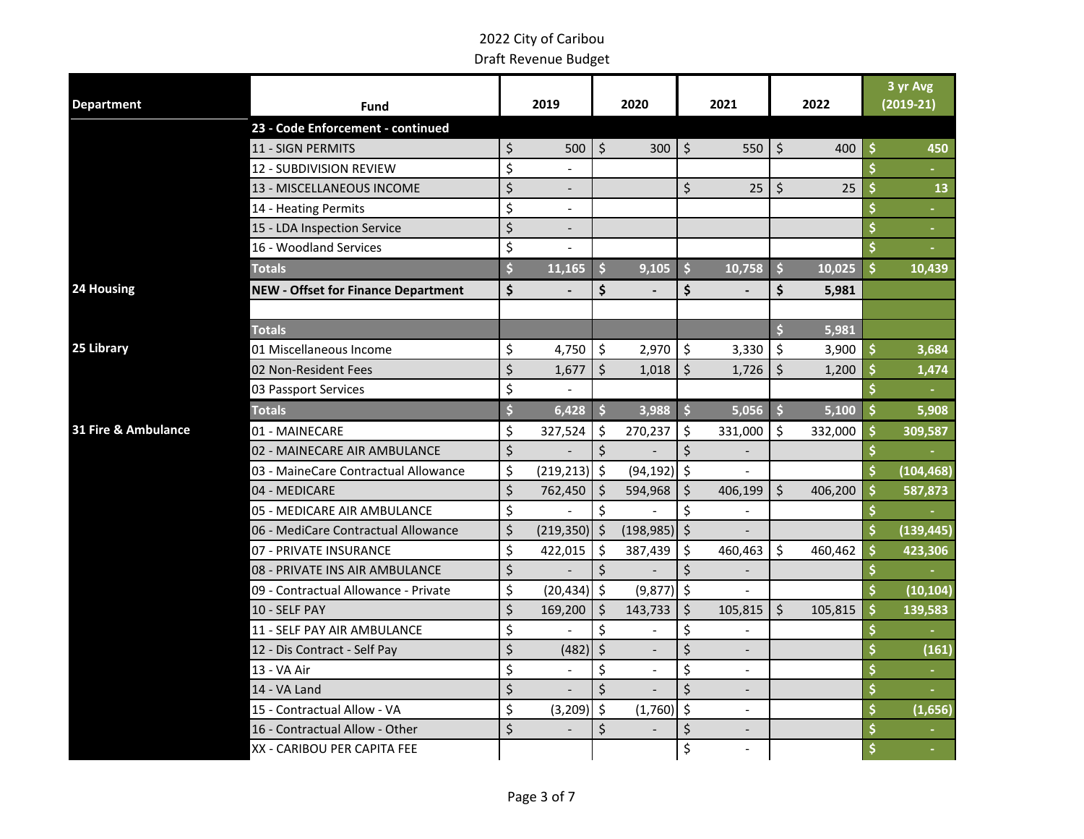| <b>Department</b>   | Fund                                       | 2019<br>2020                   |                      | 2021           |                       | 2022           |                         |         | 3 yr Avg<br>$(2019-21)$ |                |
|---------------------|--------------------------------------------|--------------------------------|----------------------|----------------|-----------------------|----------------|-------------------------|---------|-------------------------|----------------|
|                     | 23 - Code Enforcement - continued          |                                |                      |                |                       |                |                         |         |                         |                |
|                     | <b>11 - SIGN PERMITS</b>                   | \$<br>500                      | $\zeta$              | 300            | $\zeta$               | 550            | \$                      | 400     | \$                      | 450            |
|                     | 12 - SUBDIVISION REVIEW                    | \$                             |                      |                |                       |                |                         |         | $\dot{\mathsf{s}}$      |                |
|                     | 13 - MISCELLANEOUS INCOME                  | \$                             |                      |                | \$                    | 25             | \$                      | 25      | \$                      | 13             |
|                     | 14 - Heating Permits                       | \$<br>$\overline{\phantom{a}}$ |                      |                |                       |                |                         |         |                         |                |
|                     | 15 - LDA Inspection Service                | \$<br>$\overline{\phantom{a}}$ |                      |                |                       |                |                         |         | \$                      | $\blacksquare$ |
|                     | 16 - Woodland Services                     | \$                             |                      |                |                       |                |                         |         |                         |                |
|                     | <b>Totals</b>                              | \$<br>11,165                   | $\mathsf{\hat{S}}$   | 9,105          | $\mathsf{\mathsf{S}}$ | 10,758         | $\dot{\mathsf{s}}$      | 10,025  | \$                      | 10,439         |
| 24 Housing          | <b>NEW - Offset for Finance Department</b> | \$                             | \$                   |                | \$                    |                | \$                      | 5,981   |                         |                |
|                     |                                            |                                |                      |                |                       |                |                         |         |                         |                |
|                     | <b>Totals</b>                              |                                |                      |                |                       |                | $\overline{\mathbf{s}}$ | 5,981   |                         |                |
| 25 Library          | 01 Miscellaneous Income                    | \$<br>4,750                    | $\zeta$              | 2,970          | $\zeta$               | 3,330          | \$                      | 3,900   | \$                      | 3,684          |
|                     | 02 Non-Resident Fees                       | \$<br>1,677                    | \$                   | 1,018          | \$                    | 1,726          | \$                      | 1,200   |                         | 1,474          |
|                     | 03 Passport Services                       | \$<br>$\blacksquare$           |                      |                |                       |                |                         |         | $\dot{\mathsf{s}}$      |                |
|                     | <b>Totals</b>                              | \$<br>6,428                    | $\ddot{\mathsf{s}}$  | 3,988          | \$                    | 5,056          | $\frac{1}{2}$           | 5,100   | \$                      | 5,908          |
| 31 Fire & Ambulance | 01 - MAINECARE                             | \$<br>327,524                  | $\ddot{\mathsf{S}}$  | 270,237        | l s                   | 331,000        | Ŝ.                      | 332,000 | \$                      | 309,587        |
|                     | 02 - MAINECARE AIR AMBULANCE               | \$                             | $\zeta$              |                | \$                    |                |                         |         |                         |                |
|                     | 03 - MaineCare Contractual Allowance       | \$<br>$(219, 213)$ \$          |                      | (94, 192)      | l \$                  |                |                         |         | $\dot{\mathsf{s}}$      | (104, 468)     |
|                     | 04 - MEDICARE                              | \$<br>762,450                  | $\zeta$              | 594,968        | \$                    | 406,199        | $\mathsf{\dot{S}}$      | 406,200 | \$                      | 587,873        |
|                     | 05 - MEDICARE AIR AMBULANCE                | \$                             | \$                   |                | \$                    |                |                         |         |                         |                |
|                     | 06 - MediCare Contractual Allowance        | \$<br>$(219,350)$ \$           |                      | $(198,985)$ \$ |                       |                |                         |         | \$                      | (139, 445)     |
|                     | 07 - PRIVATE INSURANCE                     | \$<br>422,015                  | $\ddot{\mathsf{S}}$  | 387,439        | $\zeta$               | 460,463        | \$                      | 460,462 | \$                      | 423,306        |
|                     | 08 - PRIVATE INS AIR AMBULANCE             | \$                             | $\zeta$              |                | \$                    |                |                         |         |                         |                |
|                     | 09 - Contractual Allowance - Private       | \$<br>$(20, 434)$ \$           |                      | (9, 877)       | $\mathsf{S}$          |                |                         |         | $\dot{\mathsf{s}}$      | (10, 104)      |
|                     | 10 - SELF PAY                              | \$<br>169,200                  | $\zeta$              | 143,733        | \$                    | 105,815        | $\zeta$                 | 105,815 | \$                      | 139,583        |
|                     | 11 - SELF PAY AIR AMBULANCE                | \$                             | $\boldsymbol{\zeta}$ |                | \$                    |                |                         |         |                         |                |
|                     | 12 - Dis Contract - Self Pay               | \$<br>(482)                    | $\zeta$              |                | \$                    |                |                         |         | \$                      | (161)          |
|                     | 13 - VA Air                                | \$                             | \$                   |                | \$                    |                |                         |         | \$                      |                |
|                     | 14 - VA Land                               | \$                             | \$                   |                | \$                    |                |                         |         | \$                      |                |
|                     | 15 - Contractual Allow - VA                | \$<br>(3, 209)                 | $\zeta$              | (1,760)        | \$                    | $\overline{a}$ |                         |         | \$                      | (1,656)        |
|                     | 16 - Contractual Allow - Other             | \$                             | $\zeta$              |                | \$                    |                |                         |         | \$                      |                |
|                     | XX - CARIBOU PER CAPITA FEE                |                                |                      |                | \$                    |                |                         |         |                         |                |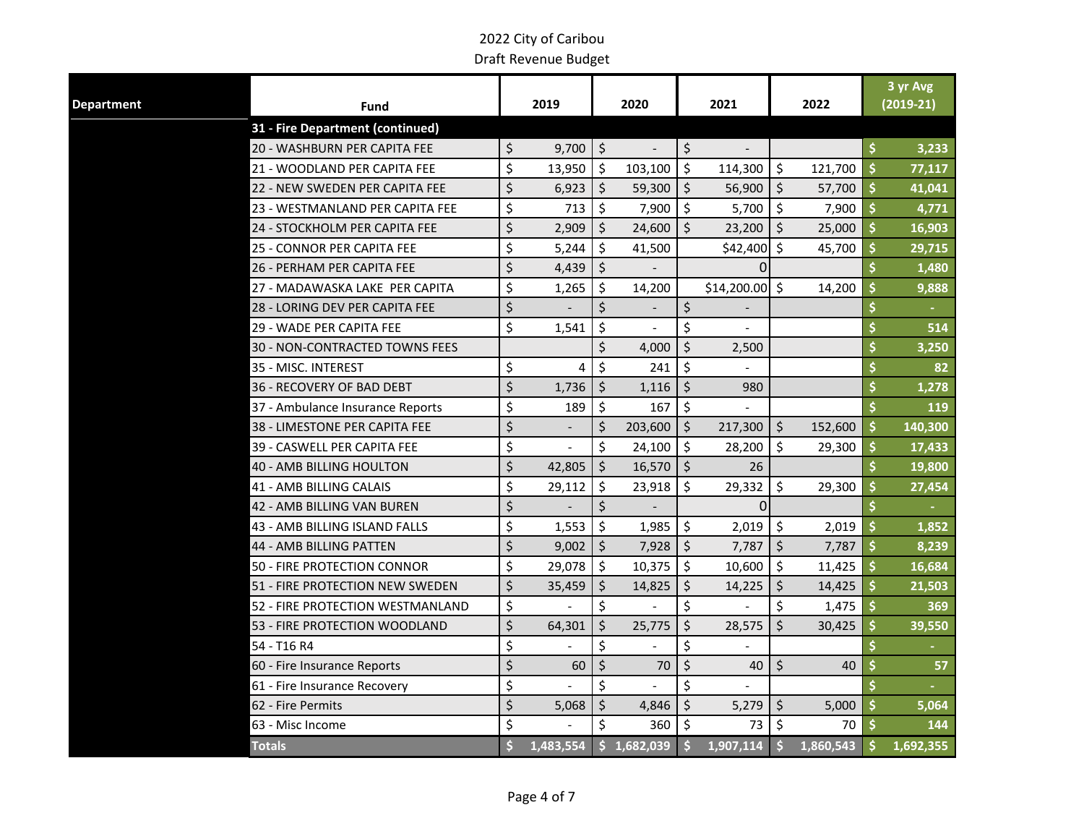| <b>Department</b><br>Fund        |                     | 2019      |                    | 2020        |                     | 2021                     |         | 2022      | 3 yr Avg<br>$(2019-21)$ |  |
|----------------------------------|---------------------|-----------|--------------------|-------------|---------------------|--------------------------|---------|-----------|-------------------------|--|
| 31 - Fire Department (continued) |                     |           |                    |             |                     |                          |         |           |                         |  |
| 20 - WASHBURN PER CAPITA FEE     | \$                  | 9,700     | $\ddot{\varsigma}$ |             | \$                  | $\overline{\phantom{a}}$ |         |           | \$<br>3,233             |  |
| 21 - WOODLAND PER CAPITA FEE     | \$                  | 13,950    | Ŝ.                 | 103,100     | $\mathsf{\hat{S}}$  | 114,300                  | \$      | 121,700   | \$<br>77,117            |  |
| 22 - NEW SWEDEN PER CAPITA FEE   | \$                  | 6,923     | $\zeta$            | 59,300      | $\ddot{\mathsf{S}}$ | 56,900                   | $\zeta$ | 57,700    | \$<br>41,041            |  |
| 23 - WESTMANLAND PER CAPITA FEE  | \$                  | 713       | $\zeta$            | 7,900       | $\zeta$             | 5,700                    | \$      | 7,900     | \$<br>4,771             |  |
| 24 - STOCKHOLM PER CAPITA FEE    | \$                  | 2,909     | $\zeta$            | 24,600      | $\zeta$             | 23,200                   | \$      | 25,000    | \$<br>16,903            |  |
| 25 - CONNOR PER CAPITA FEE       | \$                  | 5,244     | \$                 | 41,500      |                     | \$42,400                 | Ŝ.      | 45,700    | \$<br>29,715            |  |
| 26 - PERHAM PER CAPITA FEE       | \$                  | 4,439     | \$                 |             |                     | <sup>0</sup>             |         |           | \$<br>1,480             |  |
| 27 - MADAWASKA LAKE PER CAPITA   | \$                  | 1,265     | Ŝ.                 | 14,200      |                     | $$14,200.00$ \$          |         | 14,200    | \$<br>9,888             |  |
| 28 - LORING DEV PER CAPITA FEE   | \$                  |           | Ś.                 |             | \$                  |                          |         |           | \$                      |  |
| 29 - WADE PER CAPITA FEE         | \$                  | 1,541     | $\zeta$            |             | \$                  |                          |         |           | \$<br>514               |  |
| 30 - NON-CONTRACTED TOWNS FEES   |                     |           | \$                 | 4,000       | $\zeta$             | 2,500                    |         |           | \$<br>3,250             |  |
| 35 - MISC. INTEREST              | \$                  | 4         | \$                 | 241         | $\zeta$             |                          |         |           | \$<br>82                |  |
| <b>36 - RECOVERY OF BAD DEBT</b> | \$                  | 1,736     | $\zeta$            | 1,116       | \$                  | 980                      |         |           | \$<br>1,278             |  |
| 37 - Ambulance Insurance Reports | \$                  | 189       | $\zeta$            | 167         | \$                  |                          |         |           | 119                     |  |
| 38 - LIMESTONE PER CAPITA FEE    | \$                  |           | $\zeta$            | 203,600     | $\ddot{\mathsf{S}}$ | 217,300                  | $\zeta$ | 152,600   | \$<br>140,300           |  |
| 39 - CASWELL PER CAPITA FEE      | \$                  |           | \$                 | 24,100      | $\ddot{\mathsf{S}}$ | 28,200                   | \$      | 29,300    | \$<br>17,433            |  |
| <b>40 - AMB BILLING HOULTON</b>  | \$                  | 42,805    | $\zeta$            | 16,570      | $\zeta$             | 26                       |         |           | \$<br>19,800            |  |
| 41 - AMB BILLING CALAIS          | \$                  | 29,112    | $\zeta$            | 23,918      | $\zeta$             | 29,332                   | \$      | 29,300    | \$<br>27,454            |  |
| 42 - AMB BILLING VAN BUREN       | \$                  |           | \$                 |             |                     | 0                        |         |           | \$                      |  |
| 43 - AMB BILLING ISLAND FALLS    | \$                  | 1,553     | \$                 | 1,985       | \$                  | 2,019                    | $\zeta$ | 2,019     | \$<br>1,852             |  |
| 44 - AMB BILLING PATTEN          | \$                  | 9,002     | $\zeta$            | 7,928       | $\zeta$             | 7,787                    | $\zeta$ | 7,787     | \$<br>8,239             |  |
| 50 - FIRE PROTECTION CONNOR      | \$                  | 29,078    | \$                 | 10,375      | $\ddot{\mathsf{s}}$ | 10,600                   | \$      | 11,425    | \$<br>16,684            |  |
| 51 - FIRE PROTECTION NEW SWEDEN  | \$                  | 35,459    | $\zeta$            | 14,825      | $\zeta$             | 14,225                   | $\zeta$ | 14,425    | \$<br>21,503            |  |
| 52 - FIRE PROTECTION WESTMANLAND | \$                  |           | \$                 |             | \$                  |                          | \$      | 1,475     | \$<br>369               |  |
| 53 - FIRE PROTECTION WOODLAND    | \$                  | 64,301    | \$                 | 25,775      | \$                  | 28,575                   | Ś.      | 30,425    | \$<br>39,550            |  |
| 54 - T16 R4                      | \$                  |           | \$                 |             | \$                  |                          |         |           | \$                      |  |
| 60 - Fire Insurance Reports      | \$                  | 60        | $\zeta$            | 70          | $\zeta$             | 40                       | $\zeta$ | 40        | \$<br>57                |  |
| 61 - Fire Insurance Recovery     | \$                  |           | \$                 |             | \$                  |                          |         |           | \$                      |  |
| 62 - Fire Permits                | \$                  | 5,068     | $\zeta$            | 4,846       | $\zeta$             | 5,279                    | $\zeta$ | 5,000     | \$<br>5,064             |  |
| 63 - Misc Income                 | \$                  |           | \$                 | 360         | $\ddot{\varsigma}$  | 73                       | $\zeta$ | 70        | \$<br>144               |  |
| <b>Totals</b>                    | $\ddot{\bm{\zeta}}$ | 1,483,554 |                    | \$1,682,039 | $\mathsf{\hat{S}}$  | $1,907,114$ \$           |         | 1,860,543 | \$<br>1,692,355         |  |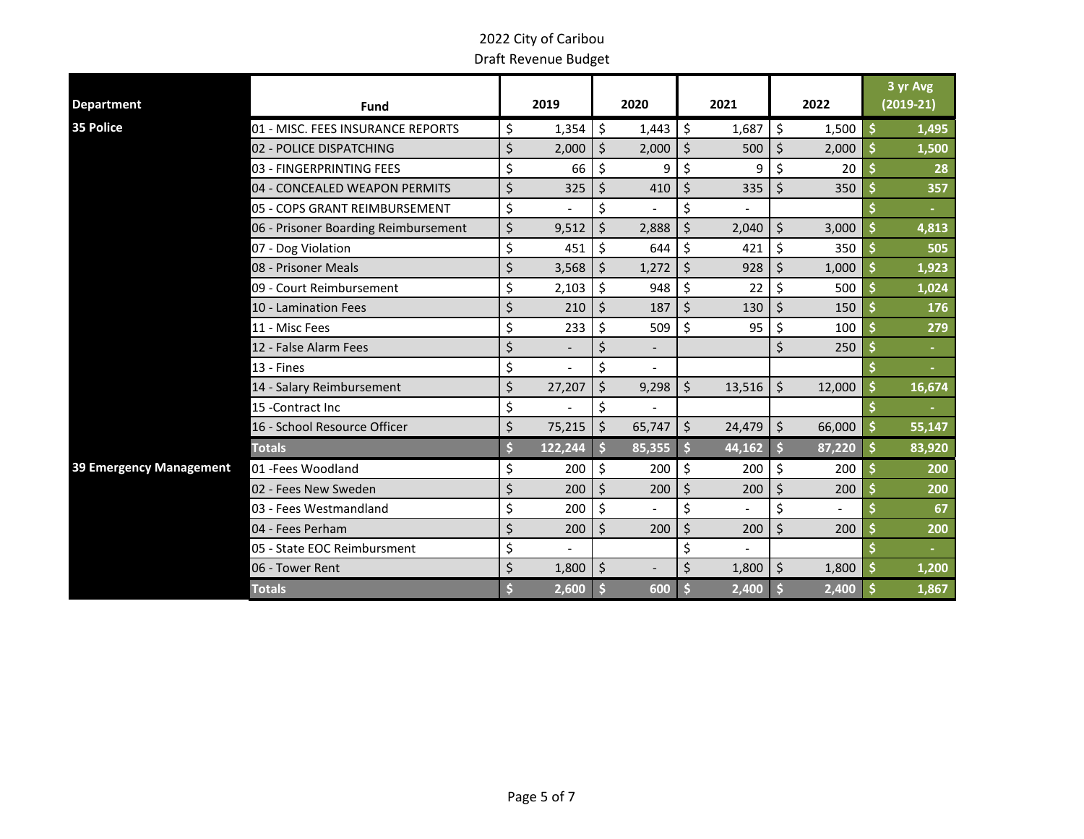|                         |                                      |              |         |                |    |                |                    |        | 3 yr Avg    |
|-------------------------|--------------------------------------|--------------|---------|----------------|----|----------------|--------------------|--------|-------------|
| <b>Department</b>       | Fund                                 | 2019         |         | 2020           |    | 2021           |                    | 2022   | $(2019-21)$ |
| 35 Police               | 01 - MISC. FEES INSURANCE REPORTS    | \$<br>1,354  | \$      | 1,443          | \$ | 1,687          | \$                 | 1,500  | \$<br>1,495 |
|                         | 02 - POLICE DISPATCHING              | \$<br>2,000  | \$      | 2,000          | \$ | 500            | \$                 | 2,000  | 1,500       |
|                         | 03 - FINGERPRINTING FEES             | \$<br>66     | \$      | 9              | \$ | 9              | \$                 | 20     | 28          |
|                         | 04 - CONCEALED WEAPON PERMITS        | \$<br>325    | \$      | 410            | \$ | 335            | \$                 | 350    | 357         |
|                         | 05 - COPS GRANT REIMBURSEMENT        | \$           | \$      |                | \$ |                |                    |        |             |
|                         | 06 - Prisoner Boarding Reimbursement | \$<br>9,512  | Ś       | 2,888          | Ś  | 2,040          | \$                 | 3,000  | 4,813       |
|                         | 07 - Dog Violation                   | \$<br>451    | \$      | 644            | \$ | 421            | $\zeta$            | 350    | 505         |
|                         | 08 - Prisoner Meals                  | \$<br>3,568  | $\zeta$ | 1,272          | \$ | 928            | \$                 | 1,000  | 1,923       |
|                         | 09 - Court Reimbursement             | \$<br>2,103  | \$      | 948            | \$ | 22             | \$                 | 500    | 1,024       |
|                         | 10 - Lamination Fees                 | \$<br>210    | \$      | 187            | \$ | 130            | \$                 | 150    | 176         |
|                         | 11 - Misc Fees                       | \$<br>233    | \$      | 509            | \$ | 95             | \$                 | 100    | 279         |
|                         | 12 - False Alarm Fees                | \$           | \$      | $\overline{a}$ |    |                | Ś                  | 250    |             |
|                         | 13 - Fines                           | \$           | \$      |                |    |                |                    |        |             |
|                         | 14 - Salary Reimbursement            | \$<br>27,207 | \$      | 9,298          | \$ | 13,516         | \$                 | 12,000 | 16,674      |
|                         | 15 - Contract Inc                    | \$           | \$      |                |    |                |                    |        |             |
|                         | 16 - School Resource Officer         | \$<br>75,215 | \$      | 65,747         | \$ | 24,479         | $\vert$ \$         | 66,000 | 55,147      |
|                         | <b>Totals</b>                        | 122,244      | Ś       | 85,355         |    | 44,162         |                    | 87,220 | 83,920      |
| 39 Emergency Management | 01 - Fees Woodland                   | \$<br>200    | \$      | 200            | \$ | 200            | $\zeta$            | 200    | 200         |
|                         | 02 - Fees New Sweden                 | \$<br>200    | \$      | 200            | \$ | 200            | $\zeta$            | 200    | 200         |
|                         | 03 - Fees Westmandland               | \$<br>200    | \$      | $\overline{a}$ | \$ | $\blacksquare$ | \$                 |        | 67          |
|                         | 04 - Fees Perham                     | \$<br>200    | \$      | 200            | \$ | 200            | \$                 | 200    | 200         |
|                         | 05 - State EOC Reimbursment          | \$           |         |                | \$ |                |                    |        |             |
|                         | 06 - Tower Rent                      | \$<br>1,800  | $\zeta$ |                | Ś. | 1,800          | $\mathsf{\hat{S}}$ | 1,800  | 1,200       |
|                         | <b>Totals</b>                        | 2,600        |         | 600            |    | 2,400          |                    | 2,400  | 1,867       |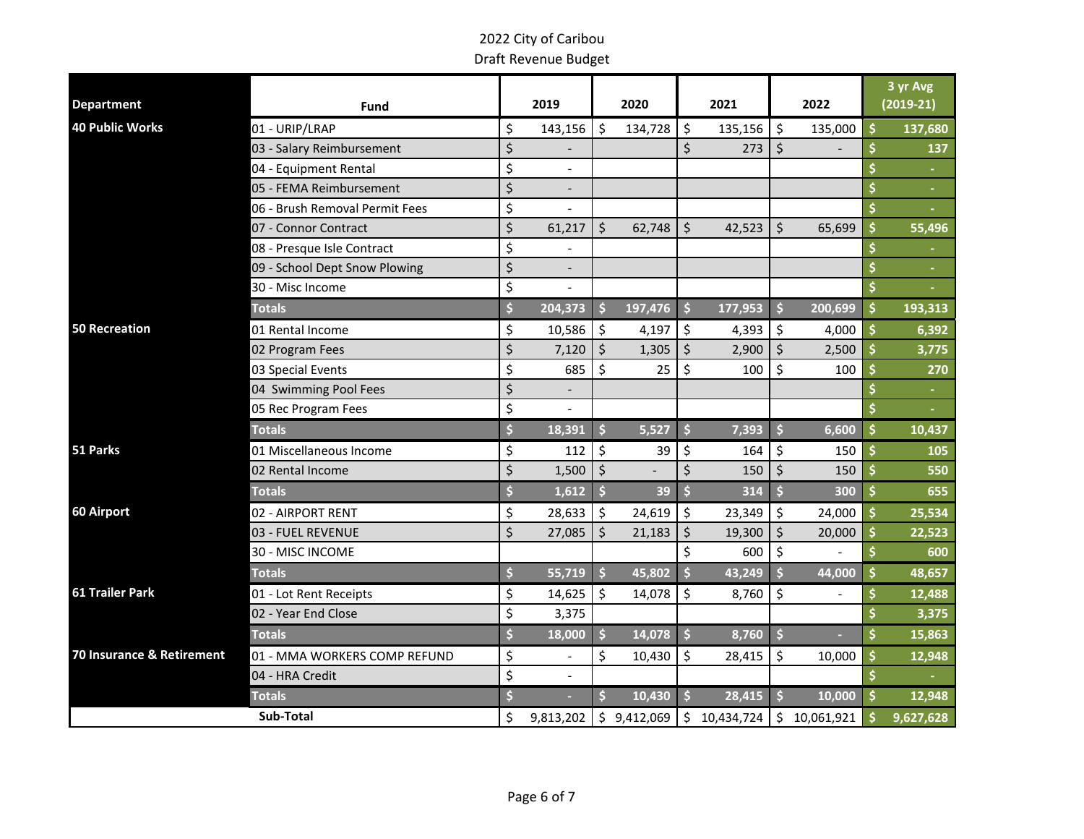|                           |                                |                                |                     |             |               |              |                     |              |         | 3 yr Avg    |
|---------------------------|--------------------------------|--------------------------------|---------------------|-------------|---------------|--------------|---------------------|--------------|---------|-------------|
| <b>Department</b>         | <b>Fund</b>                    | 2019                           |                     | 2020        |               | 2021         |                     | 2022         |         | $(2019-21)$ |
| <b>40 Public Works</b>    | 01 - URIP/LRAP                 | \$<br>143,156                  | \$                  | 134,728     | \$            | 135,156      | \$                  | 135,000      | Ś       | 137,680     |
|                           | 03 - Salary Reimbursement      | \$                             |                     |             | \$            | 273          | $\zeta$             |              | \$      | 137         |
|                           | 04 - Equipment Rental          | \$<br>$\overline{\phantom{a}}$ |                     |             |               |              |                     |              |         |             |
|                           | 05 - FEMA Reimbursement        | \$                             |                     |             |               |              |                     |              | \$      |             |
|                           | 06 - Brush Removal Permit Fees | \$                             |                     |             |               |              |                     |              | \$      |             |
|                           | 07 - Connor Contract           | \$<br>61,217                   | \$                  | 62,748      | \$            | 42,523       | $\zeta$             | 65,699       | Ś       | 55,496      |
|                           | 08 - Presque Isle Contract     | \$                             |                     |             |               |              |                     |              |         |             |
|                           | 09 - School Dept Snow Plowing  | \$<br>$\overline{\phantom{a}}$ |                     |             |               |              |                     |              | \$      | $\sim$      |
|                           | 30 - Misc Income               | \$                             |                     |             |               |              |                     |              | \$      |             |
|                           | <b>Totals</b>                  | \$<br>204,373                  | S                   | 197,476     | \$            | 177,953      | Ŝ.                  | 200,699      | \$      | 193,313     |
| <b>50 Recreation</b>      | 01 Rental Income               | \$<br>10,586                   | \$                  | 4,197       | \$            | 4,393        | \$                  | 4,000        | \$      | 6,392       |
|                           | 02 Program Fees                | \$<br>7,120                    | $\zeta$             | 1,305       | \$            | 2,900        | $\zeta$             | 2,500        | \$      | 3,775       |
|                           | 03 Special Events              | \$<br>685                      | \$                  | 25          | \$            | 100          | $\zeta$             | 100          | \$      | 270         |
|                           | 04 Swimming Pool Fees          | \$                             |                     |             |               |              |                     |              |         | $\sim$      |
|                           | 05 Rec Program Fees            | \$                             |                     |             |               |              |                     |              |         | ÷.          |
|                           | <b>Totals</b>                  | \$<br>18,391                   | $\ddot{\mathsf{s}}$ | 5,527       | \$            | 7,393        | $\dot{\mathsf{s}}$  | 6,600        | \$      | 10,437      |
| 51 Parks                  | 01 Miscellaneous Income        | \$<br>112                      | \$                  | 39          | \$            | 164          | \$                  | 150          | Ś       | 105         |
|                           | 02 Rental Income               | \$<br>1,500                    | $\zeta$             |             | $\zeta$       | 150          | $\zeta$             | 150          | \$      | 550         |
|                           | <b>Totals</b>                  | \$<br>1,612                    | $\ddot{\mathsf{s}}$ | 39          | \$            | 314          | $\dot{\mathsf{s}}$  | 300          | $\zeta$ | 655         |
| 60 Airport                | 02 - AIRPORT RENT              | \$<br>28,633                   | \$                  | 24,619      | \$            | 23,349       | \$                  | 24,000       | \$      | 25,534      |
|                           | 03 - FUEL REVENUE              | \$<br>27,085                   | \$                  | 21,183      | $\zeta$       | 19,300       | $\zeta$             | 20,000       | Ś       | 22,523      |
|                           | 30 - MISC INCOME               |                                |                     |             | \$            | 600          | $\zeta$             |              | \$      | 600         |
|                           | <b>Totals</b>                  | \$<br>55,719                   | Ŝ.                  | 45,802      | \$            | 43,249       | Ś                   | 44,000       | \$      | 48,657      |
| <b>61 Trailer Park</b>    | 01 - Lot Rent Receipts         | \$<br>14,625                   | \$                  | 14,078      | \$            | 8,760        | \$                  |              | \$      | 12,488      |
|                           | 02 - Year End Close            | \$<br>3,375                    |                     |             |               |              |                     |              |         | 3,375       |
|                           | <b>Totals</b>                  | \$<br>18,000                   | Ś                   | 14,078      | $\frac{1}{2}$ | 8,760        | $\frac{1}{2}$       |              | \$      | 15,863      |
| 70 Insurance & Retirement | 01 - MMA WORKERS COMP REFUND   | \$                             | \$                  | 10,430      | \$            | 28,415       | \$                  | 10,000       | \$      | 12,948      |
|                           | 04 - HRA Credit                | \$                             |                     |             |               |              |                     |              |         |             |
|                           | <b>Totals</b>                  | \$<br>۰                        | s.                  | 10,430      | \$            | 28,415       | $\ddot{\mathsf{s}}$ | 10,000       | $\zeta$ | 12,948      |
|                           | Sub-Total                      | \$<br>9,813,202                |                     | \$9,412,069 |               | \$10,434,724 |                     | \$10,061,921 | \$      | 9,627,628   |